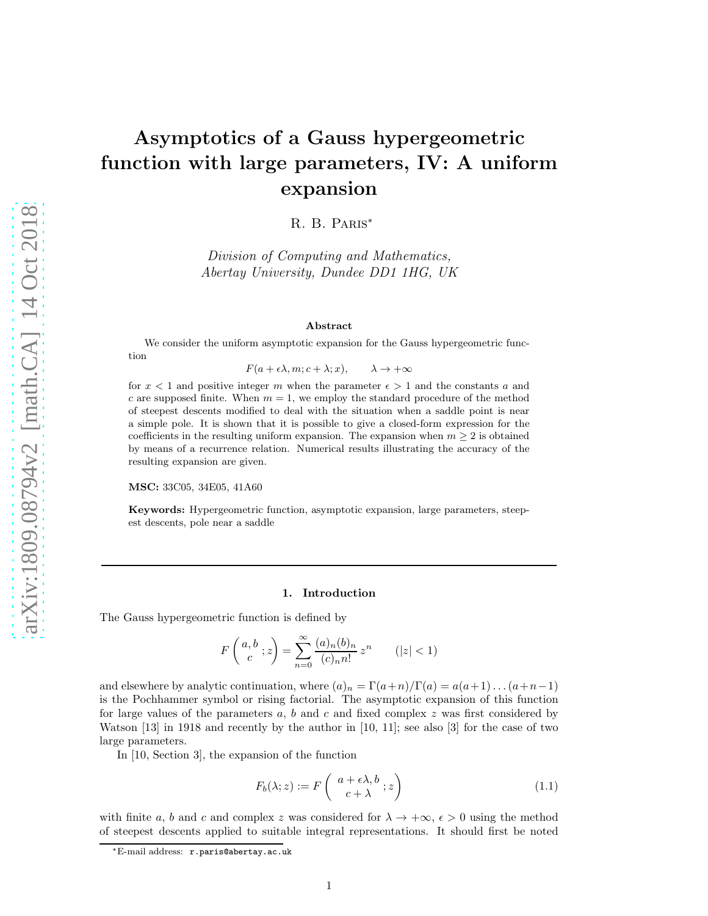# Asymptotics of a Gauss hypergeometric function with large parameters, IV: A uniform expansion

R. B. Paris<sup>∗</sup>

Division of Computing and Mathematics, Abertay University, Dundee DD1 1HG, UK

#### Abstract

We consider the uniform asymptotic expansion for the Gauss hypergeometric function

 $F(a + \epsilon \lambda, m; c + \lambda; x), \qquad \lambda \to +\infty$ 

for  $x < 1$  and positive integer m when the parameter  $\epsilon > 1$  and the constants a and c are supposed finite. When  $m = 1$ , we employ the standard procedure of the method of steepest descents modified to deal with the situation when a saddle point is near a simple pole. It is shown that it is possible to give a closed-form expression for the coefficients in the resulting uniform expansion. The expansion when  $m \geq 2$  is obtained by means of a recurrence relation. Numerical results illustrating the accuracy of the resulting expansion are given.

MSC: 33C05, 34E05, 41A60

Keywords: Hypergeometric function, asymptotic expansion, large parameters, steepest descents, pole near a saddle

#### 1. Introduction

The Gauss hypergeometric function is defined by

$$
F\left(\begin{array}{c}a,b\\c\end{array};z\right) = \sum_{n=0}^{\infty} \frac{(a)_n(b)_n}{(c)_n n!} z^n \qquad (|z| < 1)
$$

and elsewhere by analytic continuation, where  $(a)_n = \Gamma(a+n)/\Gamma(a) = a(a+1)...(a+n-1)$ is the Pochhammer symbol or rising factorial. The asymptotic expansion of this function for large values of the parameters  $a, b$  and  $c$  and fixed complex  $z$  was first considered by Watson [13] in 1918 and recently by the author in [10, 11]; see also [3] for the case of two large parameters.

In [10, Section 3], the expansion of the function

$$
F_b(\lambda; z) := F\left(\begin{array}{c} a + \epsilon \lambda, b \\ c + \lambda \end{array}; z\right) \tag{1.1}
$$

with finite a, b and c and complex z was considered for  $\lambda \to +\infty$ ,  $\epsilon > 0$  using the method of steepest descents applied to suitable integral representations. It should first be noted

<sup>∗</sup>E-mail address: r.paris@abertay.ac.uk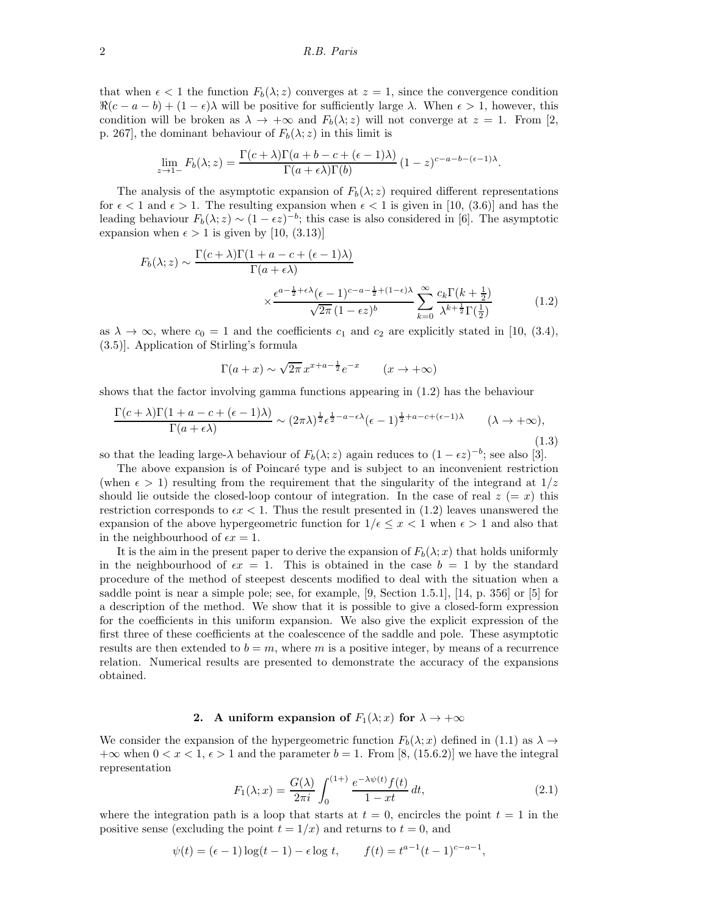that when  $\epsilon$  < 1 the function  $F_b(\lambda; z)$  converges at  $z = 1$ , since the convergence condition  $\Re(c-a-b)+(1-\epsilon)\lambda$  will be positive for sufficiently large  $\lambda$ . When  $\epsilon > 1$ , however, this condition will be broken as  $\lambda \to +\infty$  and  $F_b(\lambda; z)$  will not converge at  $z = 1$ . From [2, p. 267, the dominant behaviour of  $F_b(\lambda; z)$  in this limit is

$$
\lim_{z \to 1-} F_b(\lambda; z) = \frac{\Gamma(c + \lambda)\Gamma(a + b - c + (\epsilon - 1)\lambda)}{\Gamma(a + \epsilon\lambda)\Gamma(b)} (1 - z)^{c - a - b - (\epsilon - 1)\lambda}.
$$

The analysis of the asymptotic expansion of  $F_b(\lambda; z)$  required different representations for  $\epsilon < 1$  and  $\epsilon > 1$ . The resulting expansion when  $\epsilon < 1$  is given in [10, (3.6)] and has the leading behaviour  $F_b(\lambda; z) \sim (1 - \epsilon z)^{-b}$ ; this case is also considered in [6]. The asymptotic expansion when  $\epsilon > 1$  is given by [10, (3.13)]

$$
F_b(\lambda; z) \sim \frac{\Gamma(c + \lambda)\Gamma(1 + a - c + (\epsilon - 1)\lambda)}{\Gamma(a + \epsilon \lambda)}
$$

$$
\times \frac{\epsilon^{a - \frac{1}{2} + \epsilon \lambda} (\epsilon - 1)^{c - a - \frac{1}{2} + (1 - \epsilon)\lambda}}{\sqrt{2\pi} (1 - \epsilon z)^b} \sum_{k=0}^{\infty} \frac{c_k \Gamma(k + \frac{1}{2})}{\lambda^{k + \frac{1}{2}} \Gamma(\frac{1}{2})}
$$
(1.2)

as  $\lambda \to \infty$ , where  $c_0 = 1$  and the coefficients  $c_1$  and  $c_2$  are explicitly stated in [10, (3.4), (3.5)]. Application of Stirling's formula

$$
\Gamma(a+x) \sim \sqrt{2\pi} x^{x+a-\frac{1}{2}} e^{-x} \qquad (x \to +\infty)
$$

shows that the factor involving gamma functions appearing in (1.2) has the behaviour

$$
\frac{\Gamma(c+\lambda)\Gamma(1+a-c+(\epsilon-1)\lambda)}{\Gamma(a+\epsilon\lambda)} \sim (2\pi\lambda)^{\frac{1}{2}}\epsilon^{\frac{1}{2}-a-\epsilon\lambda}(\epsilon-1)^{\frac{1}{2}+a-c+(\epsilon-1)\lambda} \qquad (\lambda \to +\infty),
$$
\n(1.3)

so that the leading large- $\lambda$  behaviour of  $F_b(\lambda; z)$  again reduces to  $(1 - \epsilon z)^{-b}$ ; see also [3].

The above expansion is of Poincaré type and is subject to an inconvenient restriction (when  $\epsilon > 1$ ) resulting from the requirement that the singularity of the integrand at  $1/z$ should lie outside the closed-loop contour of integration. In the case of real  $z (= x)$  this restriction corresponds to  $\epsilon x < 1$ . Thus the result presented in (1.2) leaves unanswered the expansion of the above hypergeometric function for  $1/\epsilon \leq x < 1$  when  $\epsilon > 1$  and also that in the neighbourhood of  $\epsilon x = 1$ .

It is the aim in the present paper to derive the expansion of  $F_b(\lambda; x)$  that holds uniformly in the neighbourhood of  $\epsilon x = 1$ . This is obtained in the case  $b = 1$  by the standard procedure of the method of steepest descents modified to deal with the situation when a saddle point is near a simple pole; see, for example, [9, Section 1.5.1], [14, p. 356] or [5] for a description of the method. We show that it is possible to give a closed-form expression for the coefficients in this uniform expansion. We also give the explicit expression of the first three of these coefficients at the coalescence of the saddle and pole. These asymptotic results are then extended to  $b = m$ , where m is a positive integer, by means of a recurrence relation. Numerical results are presented to demonstrate the accuracy of the expansions obtained.

### 2. A uniform expansion of  $F_1(\lambda; x)$  for  $\lambda \to +\infty$

We consider the expansion of the hypergeometric function  $F_b(\lambda; x)$  defined in (1.1) as  $\lambda \to$  $+\infty$  when  $0 < x < 1$ ,  $\epsilon > 1$  and the parameter  $b = 1$ . From [8, (15.6.2)] we have the integral representation

$$
F_1(\lambda; x) = \frac{G(\lambda)}{2\pi i} \int_0^{(1+\lambda)} \frac{e^{-\lambda \psi(t)} f(t)}{1 - xt} dt,
$$
\n(2.1)

where the integration path is a loop that starts at  $t = 0$ , encircles the point  $t = 1$  in the positive sense (excluding the point  $t = 1/x$ ) and returns to  $t = 0$ , and

$$
\psi(t) = (\epsilon - 1)\log(t - 1) - \epsilon \log t, \qquad f(t) = t^{a-1}(t - 1)^{c-a-1},
$$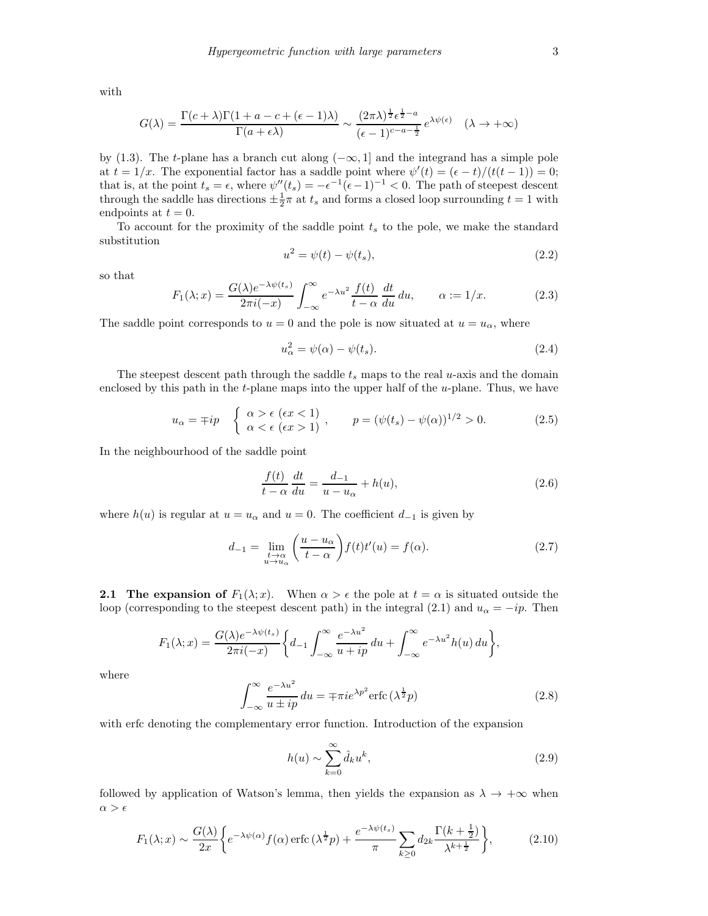with

$$
G(\lambda) = \frac{\Gamma(c + \lambda)\Gamma(1 + a - c + (\epsilon - 1)\lambda)}{\Gamma(a + \epsilon\lambda)} \sim \frac{(2\pi\lambda)^{\frac{1}{2}}\epsilon^{\frac{1}{2} - a}}{(\epsilon - 1)^{c - a - \frac{1}{2}}} e^{\lambda\psi(\epsilon)} \quad (\lambda \to +\infty)
$$

by (1.3). The t-plane has a branch cut along  $(-\infty, 1]$  and the integrand has a simple pole at  $t = 1/x$ . The exponential factor has a saddle point where  $\psi'(t) = (\epsilon - t)/(t(t-1)) = 0;$ that is, at the point  $t_s = \epsilon$ , where  $\psi''(t_s) = -\epsilon^{-1}(\epsilon-1)^{-1} < 0$ . The path of steepest descent through the saddle has directions  $\pm \frac{1}{2}\pi$  at  $t_s$  and forms a closed loop surrounding  $t = 1$  with endpoints at  $t = 0$ .

To account for the proximity of the saddle point  $t_s$  to the pole, we make the standard substitution

$$
u^2 = \psi(t) - \psi(t_s),\tag{2.2}
$$

so that

$$
F_1(\lambda; x) = \frac{G(\lambda)e^{-\lambda\psi(t_s)}}{2\pi i(-x)} \int_{-\infty}^{\infty} e^{-\lambda u^2} \frac{f(t)}{t - \alpha} \frac{dt}{du} du, \qquad \alpha := 1/x.
$$
 (2.3)

The saddle point corresponds to  $u = 0$  and the pole is now situated at  $u = u_{\alpha}$ , where

$$
u_{\alpha}^{2} = \psi(\alpha) - \psi(t_{s}).
$$
\n(2.4)

The steepest descent path through the saddle  $t_s$  maps to the real u-axis and the domain enclosed by this path in the  $t$ -plane maps into the upper half of the  $u$ -plane. Thus, we have

$$
u_{\alpha} = \mp ip \quad \begin{cases} \alpha > \epsilon \ (\epsilon x < 1) \\ \alpha < \epsilon \ (\epsilon x > 1) \end{cases}, \qquad p = (\psi(t_s) - \psi(\alpha))^{1/2} > 0. \tag{2.5}
$$

In the neighbourhood of the saddle point

$$
\frac{f(t)}{t-\alpha} \frac{dt}{du} = \frac{d_{-1}}{u-u_{\alpha}} + h(u),\tag{2.6}
$$

where  $h(u)$  is regular at  $u = u_\alpha$  and  $u = 0$ . The coefficient  $d_{-1}$  is given by

$$
d_{-1} = \lim_{\substack{t \to \alpha \\ u \to u_{\alpha}}} \left( \frac{u - u_{\alpha}}{t - \alpha} \right) f(t) t'(u) = f(\alpha). \tag{2.7}
$$

**2.1 The expansion of**  $F_1(\lambda; x)$ . When  $\alpha > \epsilon$  the pole at  $t = \alpha$  is situated outside the loop (corresponding to the steepest descent path) in the integral (2.1) and  $u_{\alpha} = -ip$ . Then

$$
F_1(\lambda; x) = \frac{G(\lambda)e^{-\lambda\psi(t_s)}}{2\pi i(-x)} \left\{ d_{-1} \int_{-\infty}^{\infty} \frac{e^{-\lambda u^2}}{u+ip} du + \int_{-\infty}^{\infty} e^{-\lambda u^2} h(u) du \right\},\,
$$

where

$$
\int_{-\infty}^{\infty} \frac{e^{-\lambda u^2}}{u \pm ip} du = \mp \pi i e^{\lambda p^2} \text{erfc}\left(\lambda^{\frac{1}{2}} p\right)
$$
 (2.8)

with erfc denoting the complementary error function. Introduction of the expansion

$$
h(u) \sim \sum_{k=0}^{\infty} \hat{d}_k u^k,
$$
\n(2.9)

followed by application of Watson's lemma, then yields the expansion as  $\lambda \to +\infty$  when  $\alpha > \epsilon$ 

$$
F_1(\lambda; x) \sim \frac{G(\lambda)}{2x} \bigg\{ e^{-\lambda \psi(\alpha)} f(\alpha) \operatorname{erfc} \left(\lambda^{\frac{1}{2}} p\right) + \frac{e^{-\lambda \psi(t_s)}}{\pi} \sum_{k \ge 0} d_{2k} \frac{\Gamma(k + \frac{1}{2})}{\lambda^{k + \frac{1}{2}}} \bigg\},\tag{2.10}
$$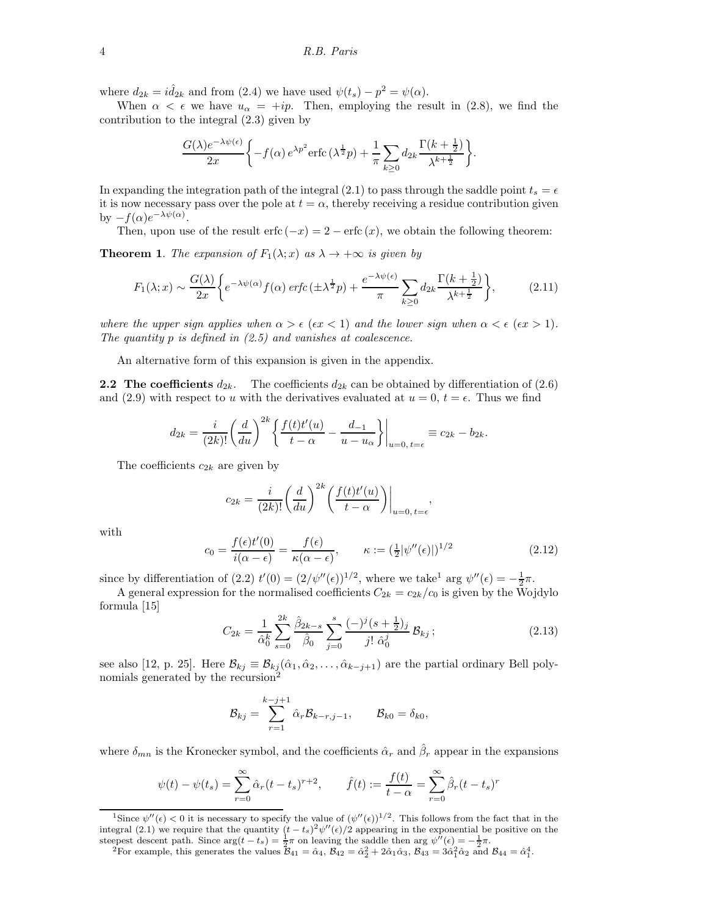where  $d_{2k} = i \hat{d}_{2k}$  and from (2.4) we have used  $\psi(t_s) - p^2 = \psi(\alpha)$ .

When  $\alpha < \epsilon$  we have  $u_{\alpha} = +ip$ . Then, employing the result in (2.8), we find the contribution to the integral (2.3) given by

$$
\frac{G(\lambda)e^{-\lambda\psi(\epsilon)}}{2x}\left\{-f(\alpha)e^{\lambda p^2}\mathrm{erfc}\left(\lambda^{\frac{1}{2}}p\right)+\frac{1}{\pi}\sum_{k\geq 0}d_{2k}\frac{\Gamma(k+\frac{1}{2})}{\lambda^{k+\frac{1}{2}}}\right\}.
$$

In expanding the integration path of the integral (2.1) to pass through the saddle point  $t_s = \epsilon$ it is now necessary pass over the pole at  $t = \alpha$ , thereby receiving a residue contribution given by  $-f(\alpha)e^{-\lambda\psi(\alpha)}$ .

Then, upon use of the result erfc  $(-x) = 2 - \text{erfc}(x)$ , we obtain the following theorem:

**Theorem 1.** The expansion of  $F_1(\lambda; x)$  as  $\lambda \to +\infty$  is given by

$$
F_1(\lambda; x) \sim \frac{G(\lambda)}{2x} \bigg\{ e^{-\lambda \psi(\alpha)} f(\alpha) \operatorname{erfc}(\pm \lambda^{\frac{1}{2}} p) + \frac{e^{-\lambda \psi(\epsilon)}}{\pi} \sum_{k \ge 0} d_{2k} \frac{\Gamma(k + \frac{1}{2})}{\lambda^{k + \frac{1}{2}}} \bigg\},\tag{2.11}
$$

where the upper sign applies when  $\alpha > \epsilon$  ( $\epsilon x < 1$ ) and the lower sign when  $\alpha < \epsilon$  ( $\epsilon x > 1$ ). The quantity  $p$  is defined in  $(2.5)$  and vanishes at coalescence.

An alternative form of this expansion is given in the appendix.

**2.2** The coefficients  $d_{2k}$ . The coefficients  $d_{2k}$  can be obtained by differentiation of (2.6) and (2.9) with respect to u with the derivatives evaluated at  $u = 0, t = \epsilon$ . Thus we find

$$
d_{2k} = \frac{i}{(2k)!} \left(\frac{d}{du}\right)^{2k} \left\{ \frac{f(t)t'(u)}{t-\alpha} - \frac{d_{-1}}{u-u_{\alpha}} \right\} \Big|_{u=0, t=\epsilon} \equiv c_{2k} - b_{2k}.
$$

The coefficients  $c_{2k}$  are given by

$$
c_{2k} = \frac{i}{(2k)!} \left(\frac{d}{du}\right)^{2k} \left(\frac{f(t)t'(u)}{t-\alpha}\right)\Big|_{u=0, t=\epsilon},
$$

with

$$
c_0 = \frac{f(\epsilon)t'(0)}{i(\alpha - \epsilon)} = \frac{f(\epsilon)}{\kappa(\alpha - \epsilon)}, \qquad \kappa := (\frac{1}{2}|\psi''(\epsilon)|)^{1/2}
$$
(2.12)

since by differentiation of (2.2)  $t'(0) = (2/\psi''(\epsilon))^{1/2}$ , where we take<sup>1</sup> arg  $\psi''(\epsilon) = -\frac{1}{2}\pi$ .

A general expression for the normalised coefficients  $C_{2k} = c_{2k}/c_0$  is given by the Wojdylo formula [15]

$$
C_{2k} = \frac{1}{\hat{\alpha}_0^k} \sum_{s=0}^{2k} \frac{\hat{\beta}_{2k-s}}{\hat{\beta}_0} \sum_{j=0}^s \frac{(-)^j (s + \frac{1}{2})_j}{j! \hat{\alpha}_0^j} \mathcal{B}_{kj};
$$
(2.13)

see also [12, p. 25]. Here  $\mathcal{B}_{kj} \equiv \mathcal{B}_{kj}(\hat{\alpha}_1, \hat{\alpha}_2, \dots, \hat{\alpha}_{k-j+1})$  are the partial ordinary Bell polynomials generated by the recursion<sup>2</sup>

$$
\mathcal{B}_{kj} = \sum_{r=1}^{k-j+1} \hat{\alpha}_r \mathcal{B}_{k-r,j-1}, \qquad \mathcal{B}_{k0} = \delta_{k0},
$$

where  $\delta_{mn}$  is the Kronecker symbol, and the coefficients  $\hat{\alpha}_r$  and  $\hat{\beta}_r$  appear in the expansions

$$
\psi(t) - \psi(t_s) = \sum_{r=0}^{\infty} \hat{\alpha}_r (t - t_s)^{r+2}, \qquad \hat{f}(t) := \frac{f(t)}{t - \alpha} = \sum_{r=0}^{\infty} \hat{\beta}_r (t - t_s)^r
$$

<sup>&</sup>lt;sup>1</sup>Since  $\psi''(\epsilon) < 0$  it is necessary to specify the value of  $(\psi''(\epsilon))^{1/2}$ . This follows from the fact that in the integral (2.1) we require that the quantity  $(t-t_s)^2 \psi''(\epsilon)/2$  appearing in the exponential be positive on the steepest descent path. Since  $\arg(t - t_s) = \frac{1}{2}\pi$  on leaving the saddle then  $\arg \psi''(\epsilon) = -\frac{1}{2}\pi$ .

<sup>&</sup>lt;sup>2</sup>For example, this generates the values  $B_{41} = \hat{\alpha}_4$ ,  $B_{42} = \hat{\alpha}_2^2 + 2\hat{\alpha}_1\hat{\alpha}_3$ ,  $B_{43} = 3\hat{\alpha}_1^2\hat{\alpha}_2$  and  $B_{44} = \hat{\alpha}_1^4$ .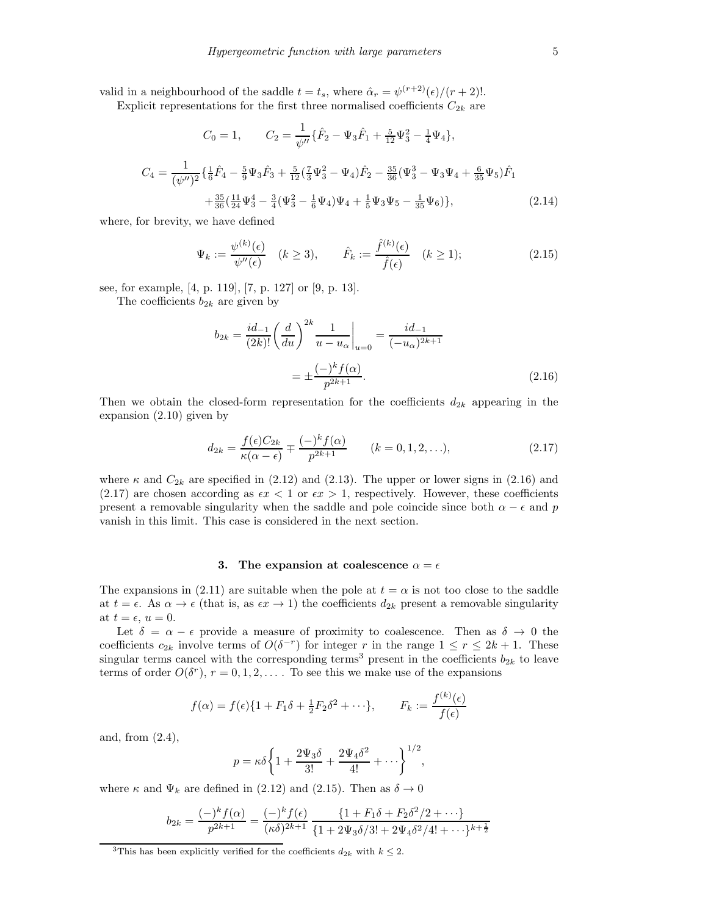valid in a neighbourhood of the saddle  $t = t_s$ , where  $\hat{\alpha}_r = \psi^{(r+2)}(\epsilon)/(r+2)!$ .

Explicit representations for the first three normalised coefficients  $C_{2k}$  are

$$
C_0 = 1, \qquad C_2 = \frac{1}{\psi''} \{ \hat{F}_2 - \Psi_3 \hat{F}_1 + \frac{5}{12} \Psi_3^2 - \frac{1}{4} \Psi_4 \},
$$

$$
C_4 = \frac{1}{(\psi'')^2} \{ \frac{1}{6} \hat{F}_4 - \frac{5}{9} \Psi_3 \hat{F}_3 + \frac{5}{12} (\frac{7}{3} \Psi_3^2 - \Psi_4) \hat{F}_2 - \frac{35}{36} (\Psi_3^3 - \Psi_3 \Psi_4 + \frac{6}{35} \Psi_5) \hat{F}_1 + \frac{35}{36} (\frac{11}{24} \Psi_3^4 - \frac{3}{4} (\Psi_3^2 - \frac{1}{6} \Psi_4) \Psi_4 + \frac{1}{5} \Psi_3 \Psi_5 - \frac{1}{35} \Psi_6) \},
$$
(2.14)

where, for brevity, we have defined

$$
\Psi_k := \frac{\psi^{(k)}(\epsilon)}{\psi''(\epsilon)} \quad (k \ge 3), \qquad \hat{F}_k := \frac{\hat{f}^{(k)}(\epsilon)}{\hat{f}(\epsilon)} \quad (k \ge 1); \tag{2.15}
$$

see, for example, [4, p. 119], [7, p. 127] or [9, p. 13].

The coefficients  $b_{2k}$  are given by

$$
b_{2k} = \frac{id_{-1}}{(2k)!} \left(\frac{d}{du}\right)^{2k} \frac{1}{u - u_{\alpha}} \bigg|_{u=0} = \frac{id_{-1}}{(-u_{\alpha})^{2k+1}}
$$

$$
= \pm \frac{(-)^{k} f(\alpha)}{p^{2k+1}}.
$$
(2.16)

Then we obtain the closed-form representation for the coefficients  $d_{2k}$  appearing in the expansion (2.10) given by

$$
d_{2k} = \frac{f(\epsilon)C_{2k}}{\kappa(\alpha - \epsilon)} \mp \frac{(-)^{k}f(\alpha)}{p^{2k+1}} \qquad (k = 0, 1, 2, ...),
$$
 (2.17)

where  $\kappa$  and  $C_{2k}$  are specified in (2.12) and (2.13). The upper or lower signs in (2.16) and (2.17) are chosen according as  $\epsilon x < 1$  or  $\epsilon x > 1$ , respectively. However, these coefficients present a removable singularity when the saddle and pole coincide since both  $\alpha - \epsilon$  and p vanish in this limit. This case is considered in the next section.

#### 3. The expansion at coalescence  $\alpha = \epsilon$

The expansions in (2.11) are suitable when the pole at  $t = \alpha$  is not too close to the saddle at  $t = \epsilon$ . As  $\alpha \to \epsilon$  (that is, as  $\epsilon x \to 1$ ) the coefficients  $d_{2k}$  present a removable singularity at  $t = \epsilon$ ,  $u = 0$ .

Let  $\delta = \alpha - \epsilon$  provide a measure of proximity to coalescence. Then as  $\delta \to 0$  the coefficients  $c_{2k}$  involve terms of  $O(\delta^{-r})$  for integer r in the range  $1 \leq r \leq 2k+1$ . These singular terms cancel with the corresponding terms<sup>3</sup> present in the coefficients  $b_{2k}$  to leave terms of order  $O(\delta^r)$ ,  $r = 0, 1, 2, \ldots$  To see this we make use of the expansions

$$
f(\alpha) = f(\epsilon)\{1 + F_1\delta + \frac{1}{2}F_2\delta^2 + \cdots\}, \qquad F_k := \frac{f^{(k)}(\epsilon)}{f(\epsilon)}
$$

and, from (2.4),

$$
p = \kappa \delta \left\{ 1 + \frac{2\Psi_3 \delta}{3!} + \frac{2\Psi_4 \delta^2}{4!} + \cdots \right\}^{1/2},
$$

where  $\kappa$  and  $\Psi_k$  are defined in (2.12) and (2.15). Then as  $\delta \to 0$ 

$$
b_{2k} = \frac{(-)^k f(\alpha)}{p^{2k+1}} = \frac{(-)^k f(\epsilon)}{(\kappa \delta)^{2k+1}} \frac{\{1 + F_1 \delta + F_2 \delta^2 / 2 + \cdots\}}{\{1 + 2 \Psi_3 \delta / 3! + 2 \Psi_4 \delta^2 / 4! + \cdots\}^{k+\frac{1}{2}}}
$$

<sup>&</sup>lt;sup>3</sup>This has been explicitly verified for the coefficients  $d_{2k}$  with  $k \leq 2$ .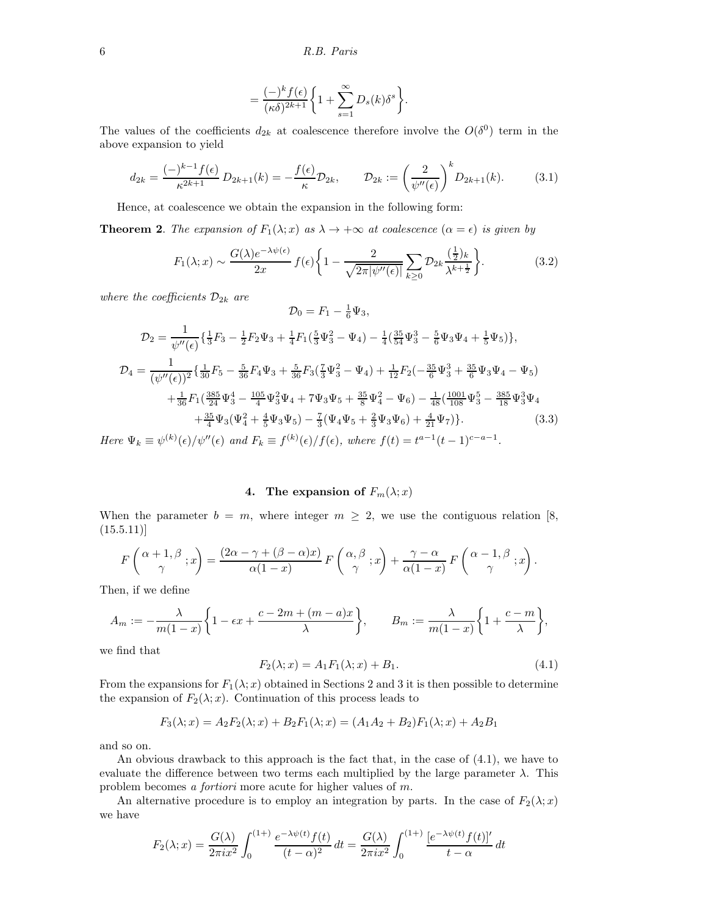6 R.B. Paris

$$
=\frac{(-)^k f(\epsilon)}{(\kappa \delta)^{2k+1}}\bigg\{1+\sum_{s=1}^\infty D_s(k)\delta^s\bigg\}.
$$

The values of the coefficients  $d_{2k}$  at coalescence therefore involve the  $O(\delta^0)$  term in the above expansion to yield

$$
d_{2k} = \frac{(-)^{k-1} f(\epsilon)}{\kappa^{2k+1}} D_{2k+1}(k) = -\frac{f(\epsilon)}{\kappa} \mathcal{D}_{2k}, \qquad \mathcal{D}_{2k} := \left(\frac{2}{\psi''(\epsilon)}\right)^k D_{2k+1}(k). \tag{3.1}
$$

Hence, at coalescence we obtain the expansion in the following form:

**Theorem 2.** The expansion of  $F_1(\lambda; x)$  as  $\lambda \to +\infty$  at coalescence  $(\alpha = \epsilon)$  is given by

$$
F_1(\lambda; x) \sim \frac{G(\lambda)e^{-\lambda\psi(\epsilon)}}{2x} f(\epsilon) \left\{ 1 - \frac{2}{\sqrt{2\pi |\psi''(\epsilon)|}} \sum_{k \ge 0} \mathcal{D}_{2k} \frac{(\frac{1}{2})_k}{\lambda^{k + \frac{1}{2}}} \right\}.
$$
 (3.2)

where the coefficients  $\mathcal{D}_{2k}$  are

$$
\mathcal{D}_0 = F_1 - \frac{1}{6} \Psi_3,
$$
\n
$$
\mathcal{D}_2 = \frac{1}{\psi''(\epsilon)} \left\{ \frac{1}{3} F_3 - \frac{1}{2} F_2 \Psi_3 + \frac{1}{4} F_1 (\frac{5}{3} \Psi_3^2 - \Psi_4) - \frac{1}{4} (\frac{35}{54} \Psi_3^3 - \frac{5}{6} \Psi_3 \Psi_4 + \frac{1}{5} \Psi_5) \right\},
$$
\n
$$
\mathcal{D}_4 = \frac{1}{(\psi''(\epsilon))^2} \left\{ \frac{1}{30} F_5 - \frac{5}{36} F_4 \Psi_3 + \frac{5}{36} F_3 (\frac{7}{3} \Psi_3^2 - \Psi_4) + \frac{1}{12} F_2 (-\frac{35}{6} \Psi_3^3 + \frac{35}{6} \Psi_3 \Psi_4 - \Psi_5) \right.
$$
\n
$$
+ \frac{1}{36} F_1 (\frac{385}{24} \Psi_3^4 - \frac{105}{4} \Psi_3^2 \Psi_4 + 7 \Psi_3 \Psi_5 + \frac{35}{8} \Psi_4^2 - \Psi_6) - \frac{1}{48} (\frac{1001}{108} \Psi_3^5 - \frac{385}{18} \Psi_3^3 \Psi_4 + \frac{35}{4} \Psi_3 (\Psi_4^2 + \frac{4}{5} \Psi_3 \Psi_5) - \frac{7}{3} (\Psi_4 \Psi_5 + \frac{2}{3} \Psi_3 \Psi_6) + \frac{4}{21} \Psi_7) \right\}.
$$
\n(3.3)

Here  $\Psi_k \equiv \psi^{(k)}(\epsilon)/\psi''(\epsilon)$  and  $F_k \equiv f^{(k)}(\epsilon)/f(\epsilon)$ , where  $f(t) = t^{a-1}(t-1)^{c-a-1}$ .

## 4. The expansion of  $F_m(\lambda; x)$

When the parameter  $b = m$ , where integer  $m \geq 2$ , we use the contiguous relation [8,  $(15.5.11)$ 

$$
F\left(\frac{\alpha+1,\beta}{\gamma};x\right) = \frac{(2\alpha-\gamma+(\beta-\alpha)x)}{\alpha(1-x)} F\left(\frac{\alpha,\beta}{\gamma};x\right) + \frac{\gamma-\alpha}{\alpha(1-x)} F\left(\frac{\alpha-1,\beta}{\gamma};x\right).
$$

Then, if we define

$$
A_m := -\frac{\lambda}{m(1-x)} \left\{ 1 - \epsilon x + \frac{c - 2m + (m - a)x}{\lambda} \right\}, \qquad B_m := \frac{\lambda}{m(1-x)} \left\{ 1 + \frac{c - m}{\lambda} \right\},
$$

we find that

$$
F_2(\lambda; x) = A_1 F_1(\lambda; x) + B_1.
$$
\n(4.1)

From the expansions for  $F_1(\lambda; x)$  obtained in Sections 2 and 3 it is then possible to determine the expansion of  $F_2(\lambda; x)$ . Continuation of this process leads to

$$
F_3(\lambda; x) = A_2 F_2(\lambda; x) + B_2 F_1(\lambda; x) = (A_1 A_2 + B_2) F_1(\lambda; x) + A_2 B_1
$$

and so on.

An obvious drawback to this approach is the fact that, in the case of (4.1), we have to evaluate the difference between two terms each multiplied by the large parameter  $\lambda$ . This problem becomes a fortiori more acute for higher values of m.

An alternative procedure is to employ an integration by parts. In the case of  $F_2(\lambda; x)$ we have

$$
F_2(\lambda; x) = \frac{G(\lambda)}{2\pi i x^2} \int_0^{(1+\lambda)} \frac{e^{-\lambda \psi(t)} f(t)}{(t-\alpha)^2} dt = \frac{G(\lambda)}{2\pi i x^2} \int_0^{(1+\lambda)} \frac{[e^{-\lambda \psi(t)} f(t)]'}{t-\alpha} dt
$$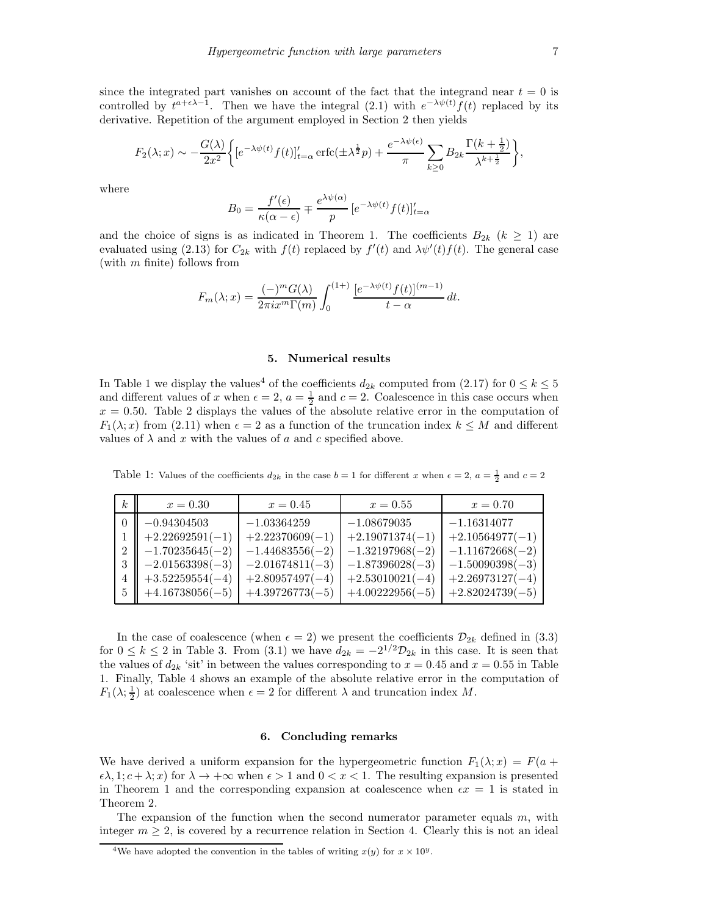since the integrated part vanishes on account of the fact that the integrand near  $t = 0$  is controlled by  $t^{a+\epsilon\lambda-1}$ . Then we have the integral (2.1) with  $e^{-\lambda\psi(t)}f(t)$  replaced by its derivative. Repetition of the argument employed in Section 2 then yields

$$
F_2(\lambda; x) \sim -\frac{G(\lambda)}{2x^2} \bigg\{ \left[e^{-\lambda \psi(t)} f(t)\right]_{t=\alpha}^{\prime} \operatorname{erfc}(\pm \lambda^{\frac{1}{2}} p) + \frac{e^{-\lambda \psi(\epsilon)}}{\pi} \sum_{k \ge 0} B_{2k} \frac{\Gamma(k + \frac{1}{2})}{\lambda^{k + \frac{1}{2}}} \bigg\},
$$

where

$$
B_0 = \frac{f'(\epsilon)}{\kappa(\alpha - \epsilon)} \mp \frac{e^{\lambda \psi(\alpha)}}{p} \left[e^{-\lambda \psi(t)} f(t)\right]_{t=\alpha}^{\prime}
$$

and the choice of signs is as indicated in Theorem 1. The coefficients  $B_{2k}$  ( $k \geq 1$ ) are evaluated using (2.13) for  $C_{2k}$  with  $f(t)$  replaced by  $f'(t)$  and  $\lambda \psi'(t) f(t)$ . The general case (with  $m$  finite) follows from

$$
F_m(\lambda; x) = \frac{(-)^m G(\lambda)}{2\pi i x^m \Gamma(m)} \int_0^{(1+)} \frac{[e^{-\lambda \psi(t)} f(t)]^{(m-1)}}{t - \alpha} dt.
$$

#### 5. Numerical results

In Table 1 we display the values<sup>4</sup> of the coefficients  $d_{2k}$  computed from (2.17) for  $0 \le k \le 5$ and different values of x when  $\epsilon = 2$ ,  $a = \frac{1}{2}$  and  $c = 2$ . Coalescence in this case occurs when  $x = 0.50$ . Table 2 displays the values of the absolute relative error in the computation of  $F_1(\lambda; x)$  from (2.11) when  $\epsilon = 2$  as a function of the truncation index  $k \leq M$  and different values of  $\lambda$  and x with the values of a and c specified above.

| k <sub>i</sub> | $x = 0.30$        | $x = 0.45$        | $x = 0.55$        | $x = 0.70$        |
|----------------|-------------------|-------------------|-------------------|-------------------|
|                | $-0.94304503$     | $-1.03364259$     | $-1.08679035$     | $-1.16314077$     |
|                | $+2.22692591(-1)$ | $+2.22370609(-1)$ | $+2.19071374(-1)$ | $+2.10564977(-1)$ |
|                | $-1.70235645(-2)$ | $-1.44683556(-2)$ | $-1.32197968(-2)$ | $-1.11672668(-2)$ |
|                | $-2.01563398(-3)$ | $-2.01674811(-3)$ | $-1.87396028(-3)$ | $-1.50090398(-3)$ |
|                | $+3.52259554(-4)$ | $+2.80957497(-4)$ | $+2.53010021(-4)$ | $+2.26973127(-4)$ |
|                | $+4.16738056(-5)$ | $+4.39726773(-5)$ | $+4.00222956(-5)$ | $+2.82024739(-5)$ |

Table 1: Values of the coefficients  $d_{2k}$  in the case  $b = 1$  for different x when  $\epsilon = 2$ ,  $a = \frac{1}{2}$  and  $c = 2$ 

In the case of coalescence (when  $\epsilon = 2$ ) we present the coefficients  $\mathcal{D}_{2k}$  defined in (3.3) for  $0 \le k \le 2$  in Table 3. From (3.1) we have  $d_{2k} = -2^{1/2} \mathcal{D}_{2k}$  in this case. It is seen that the values of  $d_{2k}$  'sit' in between the values corresponding to  $x = 0.45$  and  $x = 0.55$  in Table 1. Finally, Table 4 shows an example of the absolute relative error in the computation of  $F_1(\lambda; \frac{1}{2})$  at coalescence when  $\epsilon = 2$  for different  $\lambda$  and truncation index M.

#### 6. Concluding remarks

We have derived a uniform expansion for the hypergeometric function  $F_1(\lambda; x) = F(a + x)$  $\epsilon \lambda$ , 1;  $c + \lambda$ ; x) for  $\lambda \to +\infty$  when  $\epsilon > 1$  and  $0 < x < 1$ . The resulting expansion is presented in Theorem 1 and the corresponding expansion at coalescence when  $\epsilon x = 1$  is stated in Theorem 2.

The expansion of the function when the second numerator parameter equals  $m$ , with integer  $m \geq 2$ , is covered by a recurrence relation in Section 4. Clearly this is not an ideal

<sup>&</sup>lt;sup>4</sup>We have adopted the convention in the tables of writing  $x(y)$  for  $x \times 10^y$ .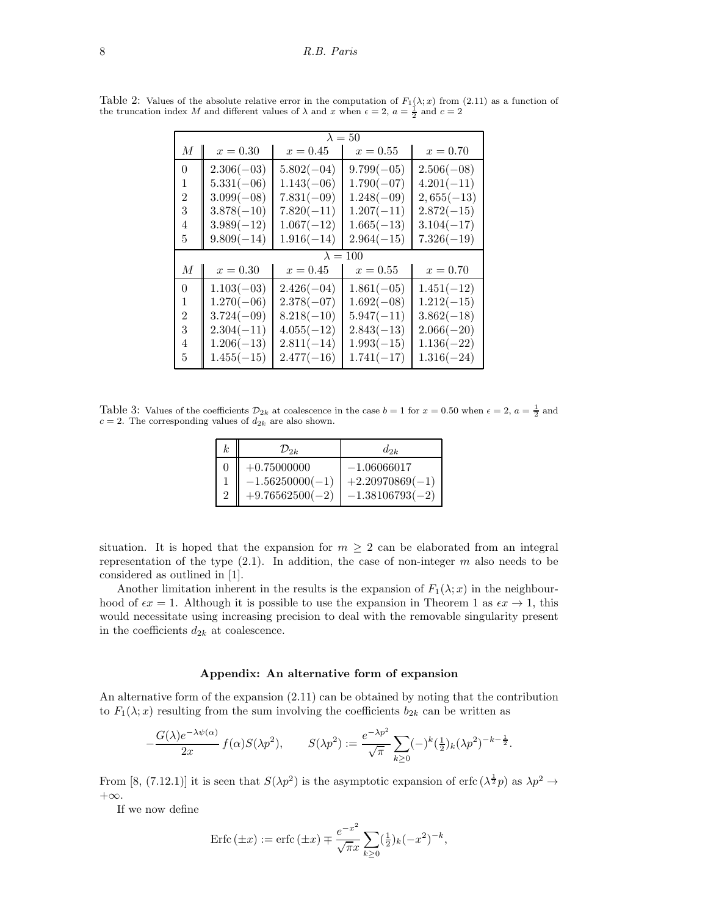#### 8 R.B. Paris

| $\lambda = 50$  |              |              |              |  |  |  |  |
|-----------------|--------------|--------------|--------------|--|--|--|--|
| $x = 0.30$      | $x = 0.45$   | $x = 0.55$   | $x = 0.70$   |  |  |  |  |
| $2.306(-03)$    | $5.802(-04)$ | $9.799(-05)$ | $2.506(-08)$ |  |  |  |  |
| $5.331(-06)$    | $1.143(-06)$ | $1.790(-07)$ | $4.201(-11)$ |  |  |  |  |
| $3.099(-08)$    | $7.831(-09)$ | $1.248(-09)$ | $2,655(-13)$ |  |  |  |  |
| $3.878(-10)$    | $7.820(-11)$ | $1.207(-11)$ | $2.872(-15)$ |  |  |  |  |
| $3.989(-12)$    | $1.067(-12)$ | $1.665(-13)$ | $3.104(-17)$ |  |  |  |  |
| $9.809(-14)$    | $1.916(-14)$ | $2.964(-15)$ | $7.326(-19)$ |  |  |  |  |
| $\lambda = 100$ |              |              |              |  |  |  |  |
| $x = 0.30$      | $x = 0.45$   | $x = 0.55$   | $x = 0.70$   |  |  |  |  |
| $1.103(-03)$    | $2.426(-04)$ | $1.861(-05)$ | $1.451(-12)$ |  |  |  |  |
| $1.270(-06)$    | $2.378(-07)$ | $1.692(-08)$ | $1.212(-15)$ |  |  |  |  |
| $3.724(-09)$    | $8.218(-10)$ | $5.947(-11)$ | $3.862(-18)$ |  |  |  |  |
| $2.304(-11)$    | $4.055(-12)$ | $2.843(-13)$ | $2.066(-20)$ |  |  |  |  |
| $1.206(-13)$    | $2.811(-14)$ | $1.993(-15)$ | $1.136(-22)$ |  |  |  |  |
| $1.455(-15)$    | $2.477(-16)$ | $1.741(-17)$ | $1.316(-24)$ |  |  |  |  |
|                 |              |              |              |  |  |  |  |

Table 2: Values of the absolute relative error in the computation of  $F_1(\lambda; x)$  from (2.11) as a function of the truncation index M and different values of  $\lambda$  and x when  $\epsilon = 2$ ,  $a = \frac{1}{2}$  and  $c = 2$ 

Table 3: Values of the coefficients  $\mathcal{D}_{2k}$  at coalescence in the case  $b = 1$  for  $x = 0.50$  when  $\epsilon = 2$ ,  $a = \frac{1}{2}$  and  $c = 2$ . The corresponding values of  $d_{2k}$  are also shown.

| k. | $\mathcal{D}_{2k}$                                      | $d_{2k}$                                                |
|----|---------------------------------------------------------|---------------------------------------------------------|
|    | $+0.75000000$<br>$-1.56250000(-1)$<br>$+9.76562500(-2)$ | $-1.06066017$<br>$+2.20970869(-1)$<br>$-1.38106793(-2)$ |

situation. It is hoped that the expansion for  $m \geq 2$  can be elaborated from an integral representation of the type  $(2.1)$ . In addition, the case of non-integer m also needs to be considered as outlined in [1].

Another limitation inherent in the results is the expansion of  $F_1(\lambda; x)$  in the neighbourhood of  $\epsilon x = 1$ . Although it is possible to use the expansion in Theorem 1 as  $\epsilon x \to 1$ , this would necessitate using increasing precision to deal with the removable singularity present in the coefficients  $d_{2k}$  at coalescence.

#### Appendix: An alternative form of expansion

An alternative form of the expansion (2.11) can be obtained by noting that the contribution to  $F_1(\lambda; x)$  resulting from the sum involving the coefficients  $b_{2k}$  can be written as

$$
-\frac{G(\lambda)e^{-\lambda\psi(\alpha)}}{2x}f(\alpha)S(\lambda p^2),\qquad S(\lambda p^2):=\frac{e^{-\lambda p^2}}{\sqrt{\pi}}\sum_{k\geq 0}(-)^k(\tfrac{1}{2})_k(\lambda p^2)^{-k-\frac{1}{2}}.
$$

From [8, (7.12.1)] it is seen that  $S(\lambda p^2)$  is the asymptotic expansion of erfc  $(\lambda^{\frac{1}{2}}p)$  as  $\lambda p^2 \to$  $+\infty$ .

If we now define

$$
Erfc(\pm x) := \text{erfc}(\pm x) \mp \frac{e^{-x^2}}{\sqrt{\pi}x} \sum_{k \ge 0} (\frac{1}{2})_k (-x^2)^{-k},
$$